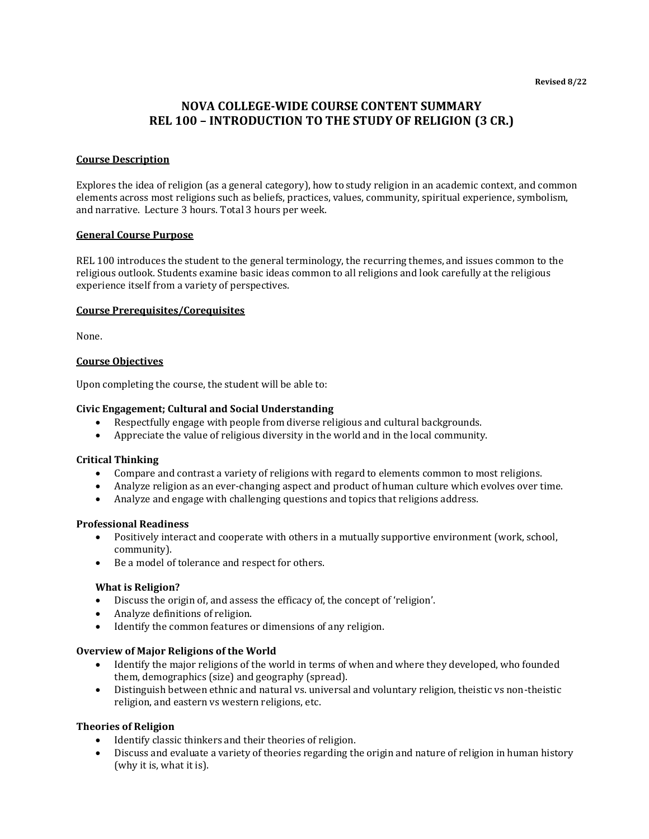# **NOVA COLLEGE-WIDE COURSE CONTENT SUMMARY REL 100 – INTRODUCTION TO THE STUDY OF RELIGION (3 CR.)**

### **Course Description**

Explores the idea of religion (as a general category), how to study religion in an academic context, and common elements across most religions such as beliefs, practices, values, community, spiritual experience, symbolism, and narrative. Lecture 3 hours. Total 3 hours per week.

### **General Course Purpose**

REL 100 introduces the student to the general terminology, the recurring themes, and issues common to the religious outlook. Students examine basic ideas common to all religions and look carefully at the religious experience itself from a variety of perspectives.

### **Course Prerequisites/Corequisites**

None.

### **Course Objectives**

Upon completing the course, the student will be able to:

#### **Civic Engagement; Cultural and Social Understanding**

- Respectfully engage with people from diverse religious and cultural backgrounds.
- Appreciate the value of religious diversity in the world and in the local community.

#### **Critical Thinking**

- Compare and contrast a variety of religions with regard to elements common to most religions.
- Analyze religion as an ever-changing aspect and product of human culture which evolves over time.
- Analyze and engage with challenging questions and topics that religions address.

#### **Professional Readiness**

- Positively interact and cooperate with others in a mutually supportive environment (work, school, community).
- Be a model of tolerance and respect for others.

### **What is Religion?**

- Discuss the origin of, and assess the efficacy of, the concept of 'religion'.
- Analyze definitions of religion.
- Identify the common features or dimensions of any religion.

### **Overview of Major Religions of the World**

- Identify the major religions of the world in terms of when and where they developed, who founded them, demographics (size) and geography (spread).
- Distinguish between ethnic and natural vs. universal and voluntary religion, theistic vs non-theistic religion, and eastern vs western religions, etc.

### **Theories of Religion**

- Identify classic thinkers and their theories of religion.
- Discuss and evaluate a variety of theories regarding the origin and nature of religion in human history (why it is, what it is).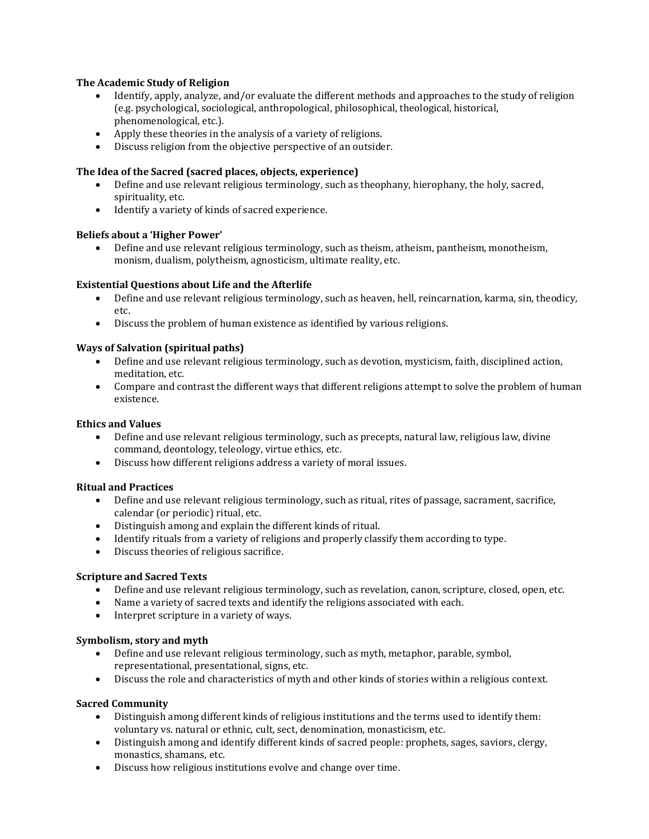# **The Academic Study of Religion**

- Identify, apply, analyze, and/or evaluate the different methods and approaches to the study of religion (e.g. psychological, sociological, anthropological, philosophical, theological, historical, phenomenological, etc.).
- Apply these theories in the analysis of a variety of religions.
- Discuss religion from the objective perspective of an outsider.

### **The Idea of the Sacred (sacred places, objects, experience)**

- Define and use relevant religious terminology, such as theophany, hierophany, the holy, sacred, spirituality, etc.
- Identify a variety of kinds of sacred experience.

### **Beliefs about a 'Higher Power'**

• Define and use relevant religious terminology, such as theism, atheism, pantheism, monotheism, monism, dualism, polytheism, agnosticism, ultimate reality, etc.

# **Existential Questions about Life and the Afterlife**

- Define and use relevant religious terminology, such as heaven, hell, reincarnation, karma, sin, theodicy, etc.
- Discuss the problem of human existence as identified by various religions.

# **Ways of Salvation (spiritual paths)**

- Define and use relevant religious terminology, such as devotion, mysticism, faith, disciplined action, meditation, etc.
- Compare and contrast the different ways that different religions attempt to solve the problem of human existence.

### **Ethics and Values**

- Define and use relevant religious terminology, such as precepts, natural law, religious law, divine command, deontology, teleology, virtue ethics, etc.
- Discuss how different religions address a variety of moral issues.

### **Ritual and Practices**

- Define and use relevant religious terminology, such as ritual, rites of passage, sacrament, sacrifice, calendar (or periodic) ritual, etc.
- Distinguish among and explain the different kinds of ritual.
- Identify rituals from a variety of religions and properly classify them according to type.
- Discuss theories of religious sacrifice.

### **Scripture and Sacred Texts**

- Define and use relevant religious terminology, such as revelation, canon, scripture, closed, open, etc.
- Name a variety of sacred texts and identify the religions associated with each.
- Interpret scripture in a variety of ways.

### **Symbolism, story and myth**

- Define and use relevant religious terminology, such as myth, metaphor, parable, symbol, representational, presentational, signs, etc.
- Discuss the role and characteristics of myth and other kinds of stories within a religious context.

### **Sacred Community**

- Distinguish among different kinds of religious institutions and the terms used to identify them: voluntary vs. natural or ethnic, cult, sect, denomination, monasticism, etc.
- Distinguish among and identify different kinds of sacred people: prophets, sages, saviors, clergy, monastics, shamans, etc.
- Discuss how religious institutions evolve and change over time.